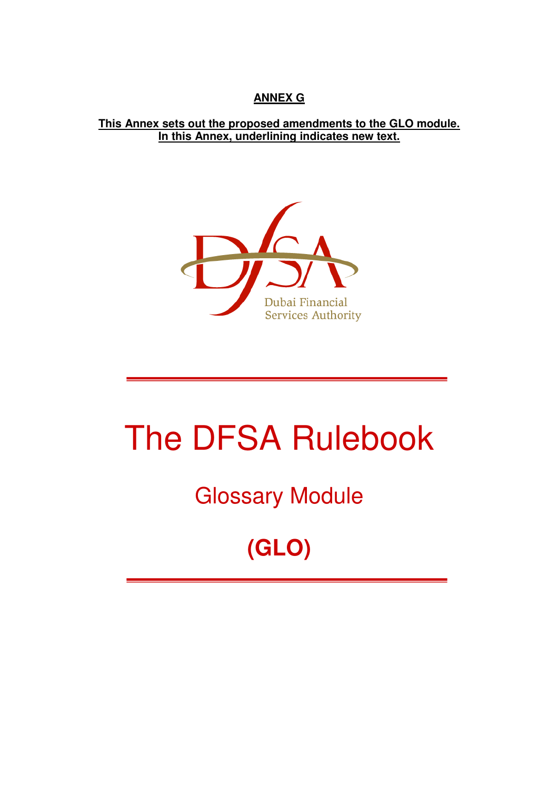#### **ANNEX G**

#### **This Annex sets out the proposed amendments to the GLO module. In this Annex, underlining indicates new text.**



# The DFSA Rulebook

### Glossary Module

## **(GLO)**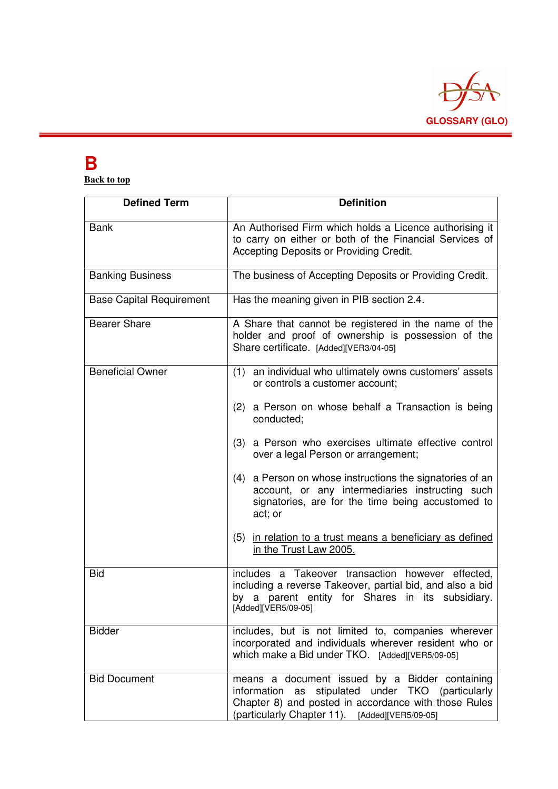

### **B**

**Back to top** 

| <b>Defined Term</b>             | <b>Definition</b>                                                                                                                                                                                                |  |  |  |
|---------------------------------|------------------------------------------------------------------------------------------------------------------------------------------------------------------------------------------------------------------|--|--|--|
| <b>Bank</b>                     | An Authorised Firm which holds a Licence authorising it<br>to carry on either or both of the Financial Services of<br>Accepting Deposits or Providing Credit.                                                    |  |  |  |
| <b>Banking Business</b>         | The business of Accepting Deposits or Providing Credit.                                                                                                                                                          |  |  |  |
| <b>Base Capital Requirement</b> | Has the meaning given in PIB section 2.4.                                                                                                                                                                        |  |  |  |
| <b>Bearer Share</b>             | A Share that cannot be registered in the name of the<br>holder and proof of ownership is possession of the<br>Share certificate. [Added][VER3/04-05]                                                             |  |  |  |
| <b>Beneficial Owner</b>         | (1) an individual who ultimately owns customers' assets<br>or controls a customer account;                                                                                                                       |  |  |  |
|                                 | (2) a Person on whose behalf a Transaction is being<br>conducted:                                                                                                                                                |  |  |  |
|                                 | (3) a Person who exercises ultimate effective control<br>over a legal Person or arrangement;                                                                                                                     |  |  |  |
|                                 | (4) a Person on whose instructions the signatories of an<br>account, or any intermediaries instructing such<br>signatories, are for the time being accustomed to<br>act; or                                      |  |  |  |
|                                 | (5) in relation to a trust means a beneficiary as defined<br>in the Trust Law 2005.                                                                                                                              |  |  |  |
| <b>Bid</b>                      | includes a Takeover transaction however effected,<br>including a reverse Takeover, partial bid, and also a bid<br>by a parent entity for Shares in its subsidiary.<br>[Added][VER5/09-05]                        |  |  |  |
| <b>Bidder</b>                   | includes, but is not limited to, companies wherever<br>incorporated and individuals wherever resident who or<br>which make a Bid under TKO. [Added][VER5/09-05]                                                  |  |  |  |
| <b>Bid Document</b>             | means a document issued by a Bidder containing<br>stipulated under TKO (particularly<br>information as<br>Chapter 8) and posted in accordance with those Rules<br>(particularly Chapter 11). [Added][VER5/09-05] |  |  |  |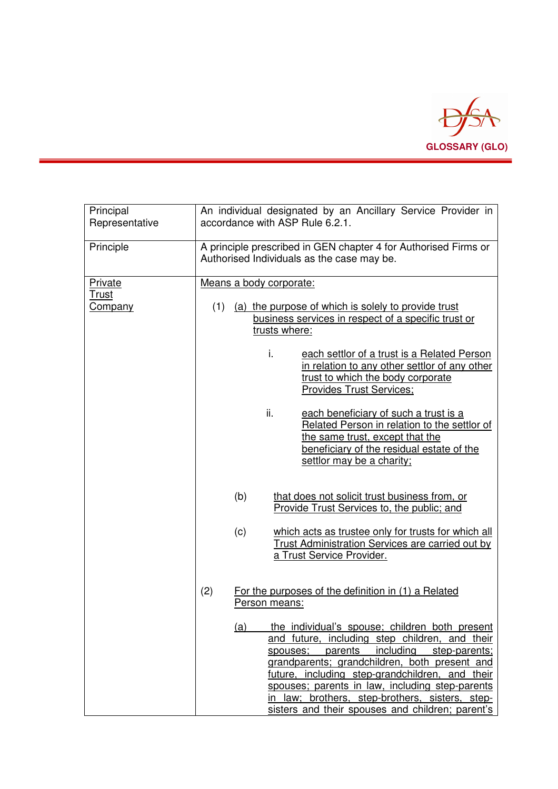

| Principal<br>Representative | An individual designated by an Ancillary Service Provider in<br>accordance with ASP Rule 6.2.1.                                                                                                                                                                                                                                                                                                                      |  |  |  |
|-----------------------------|----------------------------------------------------------------------------------------------------------------------------------------------------------------------------------------------------------------------------------------------------------------------------------------------------------------------------------------------------------------------------------------------------------------------|--|--|--|
| Principle                   | A principle prescribed in GEN chapter 4 for Authorised Firms or<br>Authorised Individuals as the case may be.                                                                                                                                                                                                                                                                                                        |  |  |  |
| Private                     | Means a body corporate:                                                                                                                                                                                                                                                                                                                                                                                              |  |  |  |
| <b>Trust</b><br>Company     | (1)<br>(a) the purpose of which is solely to provide trust<br>business services in respect of a specific trust or<br>trusts where:                                                                                                                                                                                                                                                                                   |  |  |  |
|                             | i.<br>each settlor of a trust is a Related Person<br>in relation to any other settlor of any other<br>trust to which the body corporate<br><b>Provides Trust Services;</b>                                                                                                                                                                                                                                           |  |  |  |
|                             | ii.<br>each beneficiary of such a trust is a<br>Related Person in relation to the settlor of<br>the same trust, except that the<br>beneficiary of the residual estate of the<br>settlor may be a charity;                                                                                                                                                                                                            |  |  |  |
|                             | (b)<br>that does not solicit trust business from, or<br>Provide Trust Services to, the public; and                                                                                                                                                                                                                                                                                                                   |  |  |  |
|                             | (c)<br>which acts as trustee only for trusts for which all<br>Trust Administration Services are carried out by<br>a Trust Service Provider.                                                                                                                                                                                                                                                                          |  |  |  |
|                             | For the purposes of the definition in (1) a Related<br>(2)<br>Person means:                                                                                                                                                                                                                                                                                                                                          |  |  |  |
|                             | (a) the individual's spouse; children both present<br>and future, including step children, and their<br>including<br>spouses; parents<br>step-parents;<br>grandparents; grandchildren, both present and<br>future, including step-grandchildren, and their<br>spouses; parents in law, including step-parents<br>in law; brothers, step-brothers, sisters, step-<br>sisters and their spouses and children; parent's |  |  |  |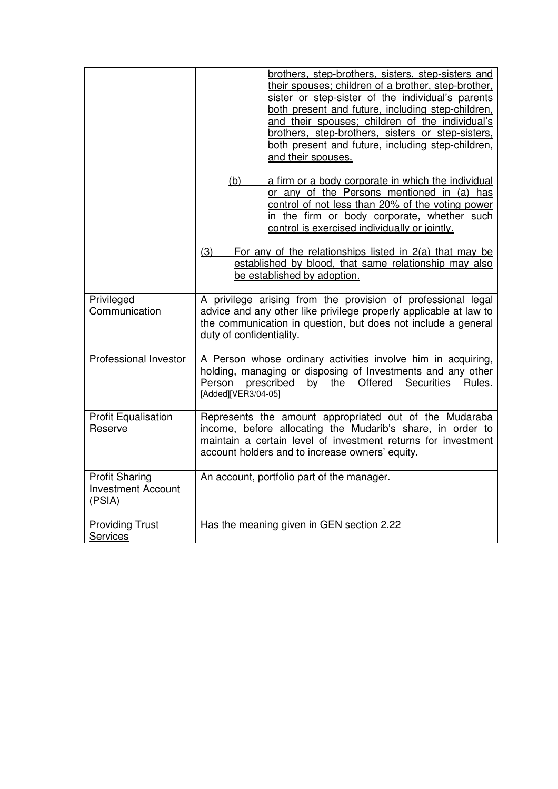|                                                              | brothers, step-brothers, sisters, step-sisters and<br>their spouses; children of a brother, step-brother,<br>sister or step-sister of the individual's parents<br>both present and future, including step-children,<br>and their spouses; children of the individual's<br>brothers, step-brothers, sisters or step-sisters,<br>both present and future, including step-children,<br>and their spouses. |  |  |
|--------------------------------------------------------------|--------------------------------------------------------------------------------------------------------------------------------------------------------------------------------------------------------------------------------------------------------------------------------------------------------------------------------------------------------------------------------------------------------|--|--|
|                                                              | (b)<br>a firm or a body corporate in which the individual<br>or any of the Persons mentioned in (a) has<br>control of not less than 20% of the voting power<br>in the firm or body corporate, whether such<br>control is exercised individually or jointly.                                                                                                                                            |  |  |
|                                                              | For any of the relationships listed in 2(a) that may be<br>(3)<br>established by blood, that same relationship may also<br>be established by adoption.                                                                                                                                                                                                                                                 |  |  |
| Privileged<br>Communication                                  | A privilege arising from the provision of professional legal<br>advice and any other like privilege properly applicable at law to<br>the communication in question, but does not include a general<br>duty of confidentiality.                                                                                                                                                                         |  |  |
| Professional Investor                                        | A Person whose ordinary activities involve him in acquiring,<br>holding, managing or disposing of Investments and any other<br>Offered<br>Person<br>prescribed<br>by the<br>Securities<br>Rules.<br>[Added][VER3/04-05]                                                                                                                                                                                |  |  |
| <b>Profit Equalisation</b><br>Reserve                        | Represents the amount appropriated out of the Mudaraba<br>income, before allocating the Mudarib's share, in order to<br>maintain a certain level of investment returns for investment<br>account holders and to increase owners' equity.                                                                                                                                                               |  |  |
| <b>Profit Sharing</b><br><b>Investment Account</b><br>(PSIA) | An account, portfolio part of the manager.                                                                                                                                                                                                                                                                                                                                                             |  |  |
| <b>Providing Trust</b><br><b>Services</b>                    | Has the meaning given in GEN section 2.22                                                                                                                                                                                                                                                                                                                                                              |  |  |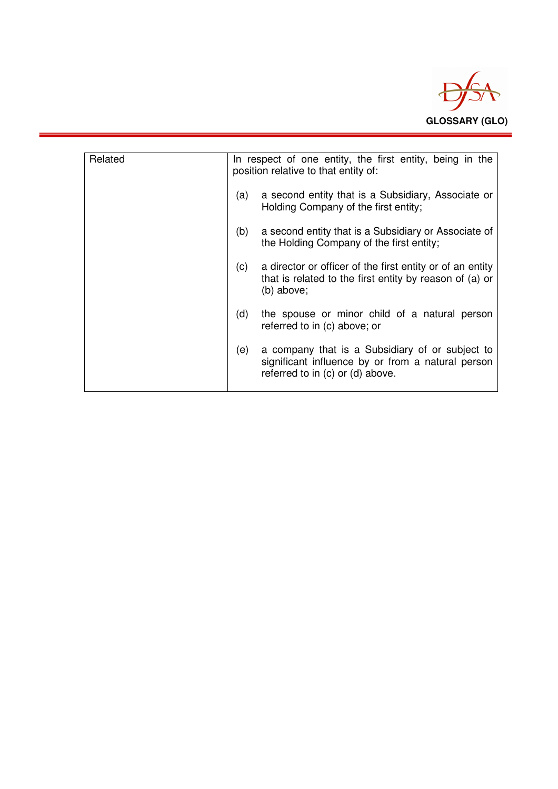

| Related | In respect of one entity, the first entity, being in the<br>position relative to that entity of: |                                                                                                                                          |  |
|---------|--------------------------------------------------------------------------------------------------|------------------------------------------------------------------------------------------------------------------------------------------|--|
|         | (a)                                                                                              | a second entity that is a Subsidiary, Associate or<br>Holding Company of the first entity;                                               |  |
|         | (b)                                                                                              | a second entity that is a Subsidiary or Associate of<br>the Holding Company of the first entity;                                         |  |
|         | (c)                                                                                              | a director or officer of the first entity or of an entity<br>that is related to the first entity by reason of (a) or<br>(b) above;       |  |
|         | (d)                                                                                              | the spouse or minor child of a natural person<br>referred to in (c) above; or                                                            |  |
|         | (e)                                                                                              | a company that is a Subsidiary of or subject to<br>significant influence by or from a natural person<br>referred to in (c) or (d) above. |  |